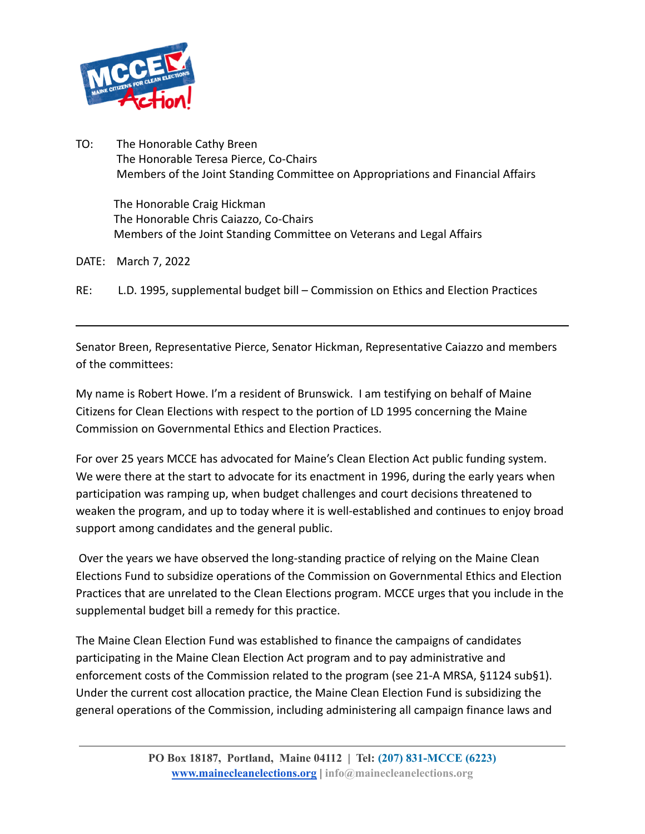

TO: The Honorable Cathy Breen The Honorable Teresa Pierce, Co-Chairs Members of the Joint Standing Committee on Appropriations and Financial Affairs

The Honorable Craig Hickman The Honorable Chris Caiazzo, Co-Chairs Members of the Joint Standing Committee on Veterans and Legal Affairs

DATE: March 7, 2022

RE: L.D. 1995, supplemental budget bill – Commission on Ethics and Election Practices

Senator Breen, Representative Pierce, Senator Hickman, Representative Caiazzo and members of the committees:

My name is Robert Howe. I'm a resident of Brunswick. I am testifying on behalf of Maine Citizens for Clean Elections with respect to the portion of LD 1995 concerning the Maine Commission on Governmental Ethics and Election Practices.

For over 25 years MCCE has advocated for Maine's Clean Election Act public funding system. We were there at the start to advocate for its enactment in 1996, during the early years when participation was ramping up, when budget challenges and court decisions threatened to weaken the program, and up to today where it is well-established and continues to enjoy broad support among candidates and the general public.

Over the years we have observed the long-standing practice of relying on the Maine Clean Elections Fund to subsidize operations of the Commission on Governmental Ethics and Election Practices that are unrelated to the Clean Elections program. MCCE urges that you include in the supplemental budget bill a remedy for this practice.

The Maine Clean Election Fund was established to finance the campaigns of candidates participating in the Maine Clean Election Act program and to pay administrative and enforcement costs of the Commission related to the program (see 21-A MRSA, §1124 sub§1). Under the current cost allocation practice, the Maine Clean Election Fund is subsidizing the general operations of the Commission, including administering all campaign finance laws and